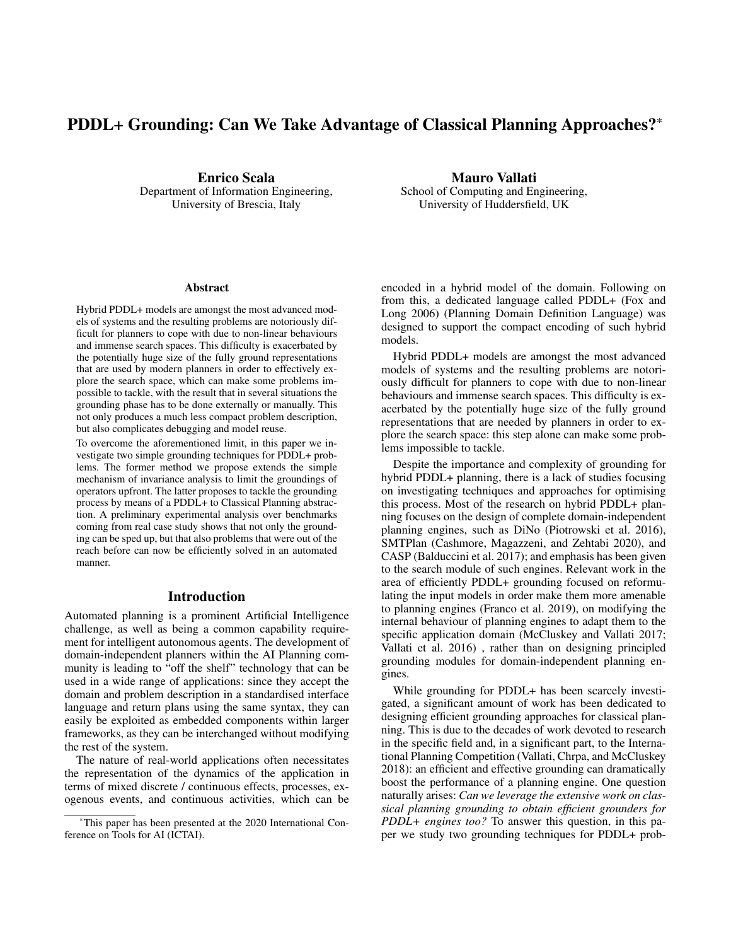# PDDL+ Grounding: Can We Take Advantage of Classical Planning Approaches?\*

Enrico Scala Department of Information Engineering, University of Brescia, Italy

Mauro Vallati School of Computing and Engineering, University of Huddersfield, UK

#### Abstract

Hybrid PDDL+ models are amongst the most advanced models of systems and the resulting problems are notoriously difficult for planners to cope with due to non-linear behaviours and immense search spaces. This difficulty is exacerbated by the potentially huge size of the fully ground representations that are used by modern planners in order to effectively explore the search space, which can make some problems impossible to tackle, with the result that in several situations the grounding phase has to be done externally or manually. This not only produces a much less compact problem description, but also complicates debugging and model reuse.

To overcome the aforementioned limit, in this paper we investigate two simple grounding techniques for PDDL+ problems. The former method we propose extends the simple mechanism of invariance analysis to limit the groundings of operators upfront. The latter proposes to tackle the grounding process by means of a PDDL+ to Classical Planning abstraction. A preliminary experimental analysis over benchmarks coming from real case study shows that not only the grounding can be sped up, but that also problems that were out of the reach before can now be efficiently solved in an automated manner.

### Introduction

Automated planning is a prominent Artificial Intelligence challenge, as well as being a common capability requirement for intelligent autonomous agents. The development of domain-independent planners within the AI Planning community is leading to "off the shelf" technology that can be used in a wide range of applications: since they accept the domain and problem description in a standardised interface language and return plans using the same syntax, they can easily be exploited as embedded components within larger frameworks, as they can be interchanged without modifying the rest of the system.

The nature of real-world applications often necessitates the representation of the dynamics of the application in terms of mixed discrete / continuous effects, processes, exogenous events, and continuous activities, which can be

encoded in a hybrid model of the domain. Following on from this, a dedicated language called PDDL+ (Fox and Long 2006) (Planning Domain Definition Language) was designed to support the compact encoding of such hybrid models.

Hybrid PDDL+ models are amongst the most advanced models of systems and the resulting problems are notoriously difficult for planners to cope with due to non-linear behaviours and immense search spaces. This difficulty is exacerbated by the potentially huge size of the fully ground representations that are needed by planners in order to explore the search space: this step alone can make some problems impossible to tackle.

Despite the importance and complexity of grounding for hybrid PDDL+ planning, there is a lack of studies focusing on investigating techniques and approaches for optimising this process. Most of the research on hybrid PDDL+ planning focuses on the design of complete domain-independent planning engines, such as DiNo (Piotrowski et al. 2016), SMTPlan (Cashmore, Magazzeni, and Zehtabi 2020), and CASP (Balduccini et al. 2017); and emphasis has been given to the search module of such engines. Relevant work in the area of efficiently PDDL+ grounding focused on reformulating the input models in order make them more amenable to planning engines (Franco et al. 2019), on modifying the internal behaviour of planning engines to adapt them to the specific application domain (McCluskey and Vallati 2017; Vallati et al. 2016) , rather than on designing principled grounding modules for domain-independent planning engines.

While grounding for PDDL+ has been scarcely investigated, a significant amount of work has been dedicated to designing efficient grounding approaches for classical planning. This is due to the decades of work devoted to research in the specific field and, in a significant part, to the International Planning Competition (Vallati, Chrpa, and McCluskey 2018): an efficient and effective grounding can dramatically boost the performance of a planning engine. One question naturally arises: *Can we leverage the extensive work on classical planning grounding to obtain efficient grounders for PDDL+ engines too?* To answer this question, in this paper we study two grounding techniques for PDDL+ prob-

<sup>\*</sup>This paper has been presented at the 2020 International Conference on Tools for AI (ICTAI).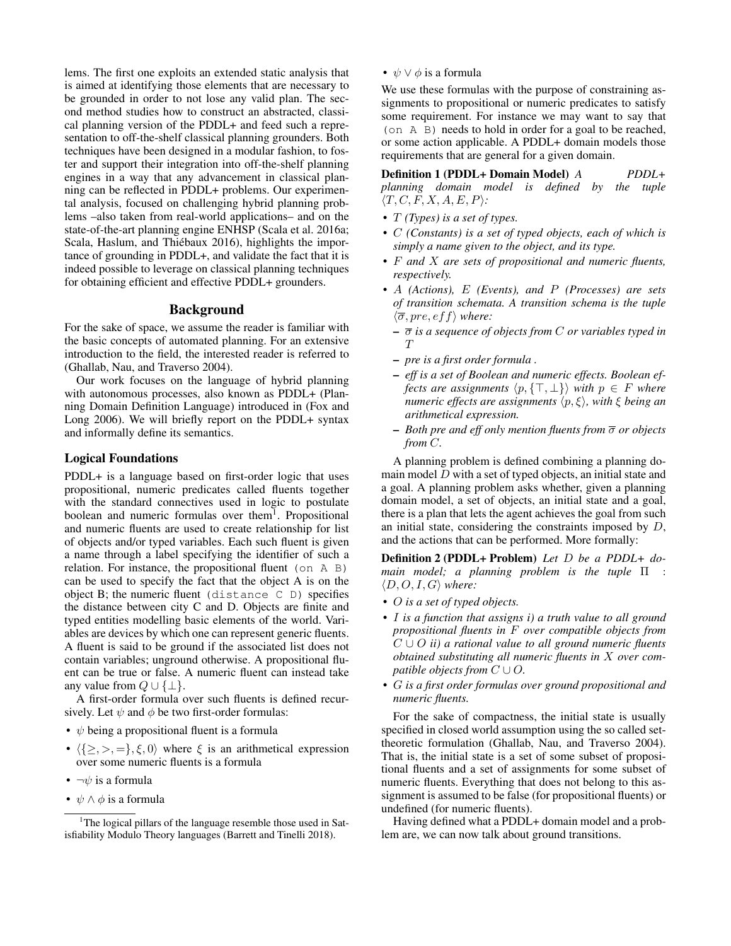lems. The first one exploits an extended static analysis that is aimed at identifying those elements that are necessary to be grounded in order to not lose any valid plan. The second method studies how to construct an abstracted, classical planning version of the PDDL+ and feed such a representation to off-the-shelf classical planning grounders. Both techniques have been designed in a modular fashion, to foster and support their integration into off-the-shelf planning engines in a way that any advancement in classical planning can be reflected in PDDL+ problems. Our experimental analysis, focused on challenging hybrid planning problems –also taken from real-world applications– and on the state-of-the-art planning engine ENHSP (Scala et al. 2016a; Scala, Haslum, and Thiébaux 2016), highlights the importance of grounding in PDDL+, and validate the fact that it is indeed possible to leverage on classical planning techniques for obtaining efficient and effective PDDL+ grounders.

### Background

For the sake of space, we assume the reader is familiar with the basic concepts of automated planning. For an extensive introduction to the field, the interested reader is referred to (Ghallab, Nau, and Traverso 2004).

Our work focuses on the language of hybrid planning with autonomous processes, also known as PDDL+ (Planning Domain Definition Language) introduced in (Fox and Long 2006). We will briefly report on the PDDL+ syntax and informally define its semantics.

#### Logical Foundations

PDDL+ is a language based on first-order logic that uses propositional, numeric predicates called fluents together with the standard connectives used in logic to postulate boolean and numeric formulas over them<sup>1</sup>. Propositional and numeric fluents are used to create relationship for list of objects and/or typed variables. Each such fluent is given a name through a label specifying the identifier of such a relation. For instance, the propositional fluent (on A B) can be used to specify the fact that the object A is on the object B; the numeric fluent (distance  $C$  D) specifies the distance between city C and D. Objects are finite and typed entities modelling basic elements of the world. Variables are devices by which one can represent generic fluents. A fluent is said to be ground if the associated list does not contain variables; unground otherwise. A propositional fluent can be true or false. A numeric fluent can instead take any value from  $Q \cup {\{\perp\}}$ .

A first-order formula over such fluents is defined recursively. Let  $\psi$  and  $\phi$  be two first-order formulas:

- $\psi$  being a propositional fluent is a formula
- $\langle {\geq}, >, = \}, \xi, 0 \rangle$  where  $\xi$  is an arithmetical expression over some numeric fluents is a formula
- $\neg \psi$  is a formula
- $\psi \wedge \phi$  is a formula

•  $\psi \vee \phi$  is a formula

We use these formulas with the purpose of constraining assignments to propositional or numeric predicates to satisfy some requirement. For instance we may want to say that (on A B) needs to hold in order for a goal to be reached, or some action applicable. A PDDL+ domain models those requirements that are general for a given domain.

Definition 1 (PDDL+ Domain Model) *A PDDL+ planning domain model is defined by the tuple*  $\langle T, C, F, X, A, E, P \rangle$ *:* 

- *•* T *(Types) is a set of types.*
- *•* C *(Constants) is a set of typed objects, each of which is simply a name given to the object, and its type.*
- *•* F *and* X *are sets of propositional and numeric fluents, respectively.*
- *•* A *(Actions),* E *(Events), and* P *(Processes) are sets of transition schemata. A transition schema is the tuple*  $\langle \overline{\sigma}, \textit{pre}, \textit{eff} \rangle$  where:
	- σ *is a sequence of objects from* C *or variables typed in*  $T$
	- *pre is a first order formula .*
	- *eff is a set of Boolean and numeric effects. Boolean effects are assignments*  $\langle p, \{T, \perp\} \rangle$  *with*  $p \in F$  *where numeric effects are assignments*  $\langle p, \xi \rangle$ *, with*  $\xi$  *being an arithmetical expression.*
	- *Both pre and eff only mention fluents from* σ *or objects from* C*.*

A planning problem is defined combining a planning domain model  $\overline{D}$  with a set of typed objects, an initial state and a goal. A planning problem asks whether, given a planning domain model, a set of objects, an initial state and a goal, there is a plan that lets the agent achieves the goal from such an initial state, considering the constraints imposed by  $D$ , and the actions that can be performed. More formally:

Definition 2 (PDDL+ Problem) *Let* D *be a PDDL+ domain model; a planning problem is the tuple* Π :  $\langle D, O, I, G \rangle$  where:

- *•* O *is a set of typed objects.*
- *•* I *is a function that assigns i) a truth value to all ground propositional fluents in* F *over compatible objects from* C ∪ O *ii) a rational value to all ground numeric fluents obtained substituting all numeric fluents in* X *over compatible objects from*  $C \cup O$ .
- *•* G *is a first order formulas over ground propositional and numeric fluents.*

For the sake of compactness, the initial state is usually specified in closed world assumption using the so called settheoretic formulation (Ghallab, Nau, and Traverso 2004). That is, the initial state is a set of some subset of propositional fluents and a set of assignments for some subset of numeric fluents. Everything that does not belong to this assignment is assumed to be false (for propositional fluents) or undefined (for numeric fluents).

Having defined what a PDDL+ domain model and a problem are, we can now talk about ground transitions.

<sup>&</sup>lt;sup>1</sup>The logical pillars of the language resemble those used in Satisfiability Modulo Theory languages (Barrett and Tinelli 2018).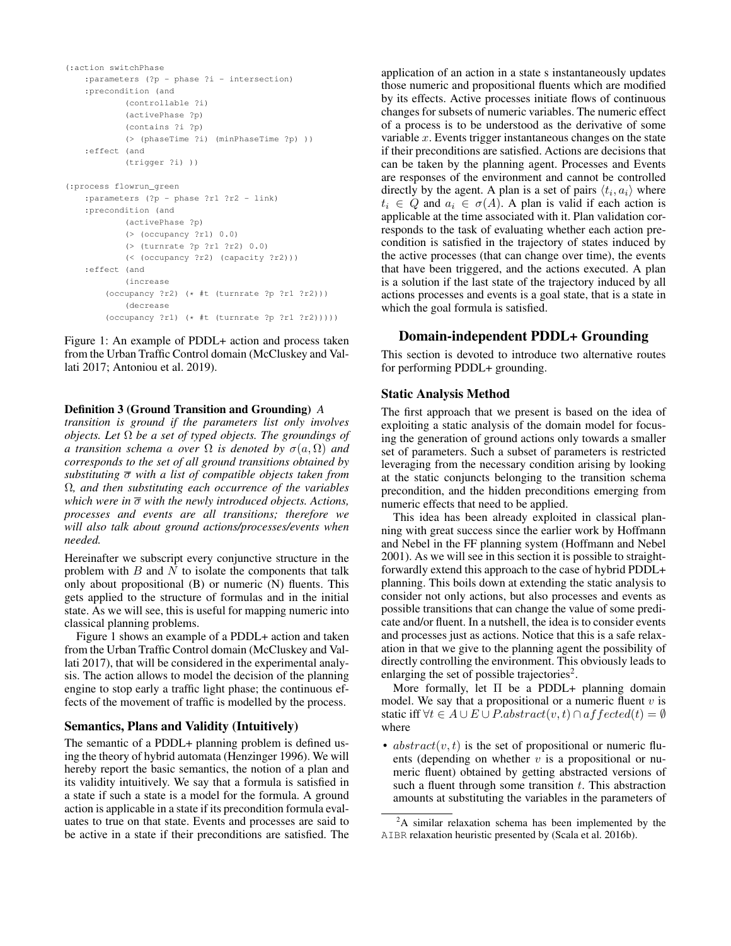```
(:action switchPhase
   :parameters (?p - phase ?i - intersection)
   :precondition (and
           (controllable ?i)
           (activePhase ?p)
           (contains ?i ?p)
           (> (phaseTime ?i) (minPhaseTime ?p) ))
   :effect (and
           (trigger ?i) ))
(:process flowrun_green
   :parameters (?p - phase ?r1 ?r2 - link)
   :precondition (and
           (activePhase ?p)
           (> (occupancy ?r1) 0.0)
           (> (turnrate ?p ?r1 ?r2) 0.0)
           (< (occupancy ?r2) (capacity ?r2)))
   :effect (and
           (increase
       (occupancy ?r2) (* #t (turnrate ?p ?r1 ?r2)))
           (decrease
        (occupancy ?r1) (* #t (turnrate ?p ?r1 ?r2)))))
```
Figure 1: An example of PDDL+ action and process taken from the Urban Traffic Control domain (McCluskey and Vallati 2017; Antoniou et al. 2019).

#### Definition 3 (Ground Transition and Grounding) *A*

*transition is ground if the parameters list only involves objects. Let* Ω *be a set of typed objects. The groundings of a transition schema a over*  $\Omega$  *is denoted by*  $\sigma(a, \Omega)$  *and corresponds to the set of all ground transitions obtained by substituting* σ *with a list of compatible objects taken from* Ω*, and then substituting each occurrence of the variables which were in*  $\overline{\sigma}$  *with the newly introduced objects. Actions, processes and events are all transitions; therefore we will also talk about ground actions/processes/events when needed.*

Hereinafter we subscript every conjunctive structure in the problem with  $B$  and  $N$  to isolate the components that talk only about propositional (B) or numeric (N) fluents. This gets applied to the structure of formulas and in the initial state. As we will see, this is useful for mapping numeric into classical planning problems.

Figure 1 shows an example of a PDDL+ action and taken from the Urban Traffic Control domain (McCluskey and Vallati 2017), that will be considered in the experimental analysis. The action allows to model the decision of the planning engine to stop early a traffic light phase; the continuous effects of the movement of traffic is modelled by the process.

### Semantics, Plans and Validity (Intuitively)

The semantic of a PDDL+ planning problem is defined using the theory of hybrid automata (Henzinger 1996). We will hereby report the basic semantics, the notion of a plan and its validity intuitively. We say that a formula is satisfied in a state if such a state is a model for the formula. A ground action is applicable in a state if its precondition formula evaluates to true on that state. Events and processes are said to be active in a state if their preconditions are satisfied. The application of an action in a state s instantaneously updates those numeric and propositional fluents which are modified by its effects. Active processes initiate flows of continuous changes for subsets of numeric variables. The numeric effect of a process is to be understood as the derivative of some variable  $x$ . Events trigger instantaneous changes on the state if their preconditions are satisfied. Actions are decisions that can be taken by the planning agent. Processes and Events are responses of the environment and cannot be controlled directly by the agent. A plan is a set of pairs  $\langle t_i, a_i \rangle$  where  $t_i \in Q$  and  $a_i \in \sigma(A)$ . A plan is valid if each action is applicable at the time associated with it. Plan validation corresponds to the task of evaluating whether each action precondition is satisfied in the trajectory of states induced by the active processes (that can change over time), the events that have been triggered, and the actions executed. A plan is a solution if the last state of the trajectory induced by all actions processes and events is a goal state, that is a state in which the goal formula is satisfied.

### Domain-independent PDDL+ Grounding

This section is devoted to introduce two alternative routes for performing PDDL+ grounding.

#### Static Analysis Method

The first approach that we present is based on the idea of exploiting a static analysis of the domain model for focusing the generation of ground actions only towards a smaller set of parameters. Such a subset of parameters is restricted leveraging from the necessary condition arising by looking at the static conjuncts belonging to the transition schema precondition, and the hidden preconditions emerging from numeric effects that need to be applied.

This idea has been already exploited in classical planning with great success since the earlier work by Hoffmann and Nebel in the FF planning system (Hoffmann and Nebel 2001). As we will see in this section it is possible to straightforwardly extend this approach to the case of hybrid PDDL+ planning. This boils down at extending the static analysis to consider not only actions, but also processes and events as possible transitions that can change the value of some predicate and/or fluent. In a nutshell, the idea is to consider events and processes just as actions. Notice that this is a safe relaxation in that we give to the planning agent the possibility of directly controlling the environment. This obviously leads to enlarging the set of possible trajectories<sup>2</sup>.

More formally, let  $\Pi$  be a PDDL+ planning domain model. We say that a propositional or a numeric fluent  $v$  is static iff  $\forall t \in A \cup E \cup P$ .*abstract* $(v, t) \cap$  *affected* $(t) = \emptyset$ where

•  $abstract(v, t)$  is the set of propositional or numeric fluents (depending on whether  $v$  is a propositional or numeric fluent) obtained by getting abstracted versions of such a fluent through some transition  $t$ . This abstraction amounts at substituting the variables in the parameters of

<sup>&</sup>lt;sup>2</sup>A similar relaxation schema has been implemented by the AIBR relaxation heuristic presented by (Scala et al. 2016b).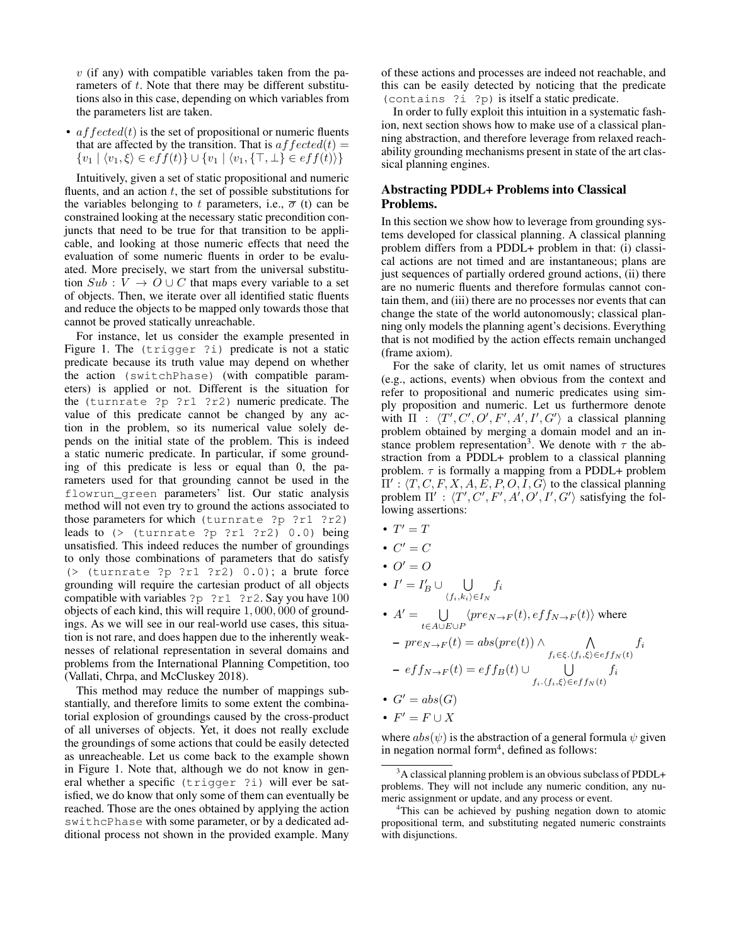$v$  (if any) with compatible variables taken from the parameters of t. Note that there may be different substitutions also in this case, depending on which variables from the parameters list are taken.

•  $\alpha$  *f*  $\beta$  *fected*(*t*) is the set of propositional or numeric fluents that are affected by the transition. That is  $\alpha f \beta \, \text{ct} \, d(t) =$  $\{v_1 | \langle v_1, \xi \rangle \in eff(t) \} \cup \{v_1 | \langle v_1, \{\top, \bot\} \in eff(t) \rangle \}$ 

Intuitively, given a set of static propositional and numeric fluents, and an action  $t$ , the set of possible substitutions for the variables belonging to t parameters, i.e.,  $\bar{\sigma}$  (t) can be constrained looking at the necessary static precondition conjuncts that need to be true for that transition to be applicable, and looking at those numeric effects that need the evaluation of some numeric fluents in order to be evaluated. More precisely, we start from the universal substitution  $Sub : V \to O \cup C$  that maps every variable to a set of objects. Then, we iterate over all identified static fluents and reduce the objects to be mapped only towards those that cannot be proved statically unreachable.

For instance, let us consider the example presented in Figure 1. The (trigger ?i) predicate is not a static predicate because its truth value may depend on whether the action (switchPhase) (with compatible parameters) is applied or not. Different is the situation for the (turnrate ?p ?r1 ?r2) numeric predicate. The value of this predicate cannot be changed by any action in the problem, so its numerical value solely depends on the initial state of the problem. This is indeed a static numeric predicate. In particular, if some grounding of this predicate is less or equal than 0, the parameters used for that grounding cannot be used in the flowrun\_green parameters' list. Our static analysis method will not even try to ground the actions associated to those parameters for which (turnrate ?p ?r1 ?r2) leads to (> (turnrate ?p ?r1 ?r2) 0.0) being unsatisfied. This indeed reduces the number of groundings to only those combinations of parameters that do satisfy (> (turnrate ?p ?r1 ?r2) 0.0); a brute force grounding will require the cartesian product of all objects compatible with variables ?p ?r1 ?r2. Say you have 100 objects of each kind, this will require 1, 000, 000 of groundings. As we will see in our real-world use cases, this situation is not rare, and does happen due to the inherently weaknesses of relational representation in several domains and problems from the International Planning Competition, too (Vallati, Chrpa, and McCluskey 2018).

This method may reduce the number of mappings substantially, and therefore limits to some extent the combinatorial explosion of groundings caused by the cross-product of all universes of objects. Yet, it does not really exclude the groundings of some actions that could be easily detected as unreacheable. Let us come back to the example shown in Figure 1. Note that, although we do not know in general whether a specific (trigger ?i) will ever be satisfied, we do know that only some of them can eventually be reached. Those are the ones obtained by applying the action swithcPhase with some parameter, or by a dedicated additional process not shown in the provided example. Many

of these actions and processes are indeed not reachable, and this can be easily detected by noticing that the predicate (contains ?i ?p) is itself a static predicate.

In order to fully exploit this intuition in a systematic fashion, next section shows how to make use of a classical planning abstraction, and therefore leverage from relaxed reachability grounding mechanisms present in state of the art classical planning engines.

## Abstracting PDDL+ Problems into Classical Problems.

In this section we show how to leverage from grounding systems developed for classical planning. A classical planning problem differs from a PDDL+ problem in that: (i) classical actions are not timed and are instantaneous; plans are just sequences of partially ordered ground actions, (ii) there are no numeric fluents and therefore formulas cannot contain them, and (iii) there are no processes nor events that can change the state of the world autonomously; classical planning only models the planning agent's decisions. Everything that is not modified by the action effects remain unchanged (frame axiom).

For the sake of clarity, let us omit names of structures (e.g., actions, events) when obvious from the context and refer to propositional and numeric predicates using simply proposition and numeric. Let us furthermore denote with  $\Pi$  :  $\langle T', C', O', F', A', I', G'\rangle$  a classical planning problem obtained by merging a domain model and an instance problem representation<sup>3</sup>. We denote with  $\tau$  the abstraction from a PDDL+ problem to a classical planning problem.  $\tau$  is formally a mapping from a PDDL+ problem  $\Pi' : \langle T, C, F, X, A, E, P, O, I, G \rangle$  to the classical planning problem  $\Pi'$ :  $\langle T', C', F', A', O', I', G' \rangle$  satisfying the following assertions:

- $T' = T$
- $C' = C$
- $Q' = Q$

• 
$$
I' = I'_B \cup \bigcup_{\langle f_i, k_i \rangle \in I_N} f_i
$$

•  $A' = \bigcup$  $\bigcup_{t \in A \cup E \cup P} \langle pre_{N \to F}(t), eff_{N \to F}(t) \rangle$  where  $– pre_{N\to F}(t) = abs(pref)) \wedge \qquad \wedge$  $f_i \in \xi$ . $\langle f_i, \xi \rangle \in eff_N (t)$  $f_i$  $- \; e f f_{N \to F}(t) = e f f_B(t) \cup$  $f_i.\langle f_i,\xi\rangle \in eff_N (t)$  $f_i$ •  $G' = abs(G)$ 

$$
G = \cos(\theta)
$$

•  $F' = F \cup X$ 

where  $abs(\psi)$  is the abstraction of a general formula  $\psi$  given in negation normal form<sup>4</sup>, defined as follows:

 $3A$  classical planning problem is an obvious subclass of PDDL+ problems. They will not include any numeric condition, any numeric assignment or update, and any process or event.

<sup>&</sup>lt;sup>4</sup>This can be achieved by pushing negation down to atomic propositional term, and substituting negated numeric constraints with disjunctions.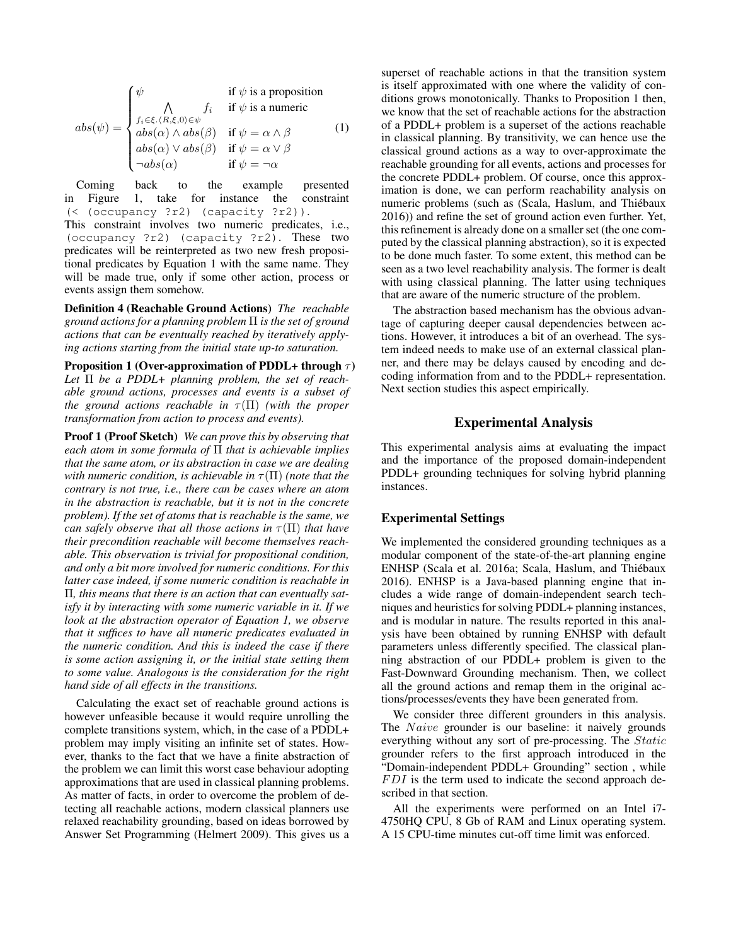$$
abs(\psi) = \begin{cases} \psi & \text{if } \psi \text{ is a proposition} \\ \bigwedge_{f_i \in \xi \cdot \langle R, \xi, 0 \rangle \in \psi} f_i & \text{if } \psi \text{ is a numeric} \\ abs(\alpha) \wedge abs(\beta) & \text{if } \psi = \alpha \wedge \beta \\ abs(\alpha) \vee abs(\beta) & \text{if } \psi = \alpha \vee \beta \\ \neg abs(\alpha) & \text{if } \psi = \neg \alpha \end{cases}
$$
 (1)

Coming back to the example presented in Figure 1, take for instance the constraint (< (occupancy ?r2) (capacity ?r2)).

This constraint involves two numeric predicates, i.e., (occupancy ?r2) (capacity ?r2). These two predicates will be reinterpreted as two new fresh propositional predicates by Equation 1 with the same name. They will be made true, only if some other action, process or events assign them somehow.

Definition 4 (Reachable Ground Actions) *The reachable ground actions for a planning problem* Π *is the set of ground actions that can be eventually reached by iteratively applying actions starting from the initial state up-to saturation.*

Proposition 1 (Over-approximation of PDDL+ through  $\tau$ ) *Let* Π *be a PDDL+ planning problem, the set of reachable ground actions, processes and events is a subset of the ground actions reachable in*  $\tau(\Pi)$  *(with the proper transformation from action to process and events).*

Proof 1 (Proof Sketch) *We can prove this by observing that each atom in some formula of* Π *that is achievable implies that the same atom, or its abstraction in case we are dealing with numeric condition, is achievable in*  $\tau(\Pi)$  *(note that the contrary is not true, i.e., there can be cases where an atom in the abstraction is reachable, but it is not in the concrete problem). If the set of atoms that is reachable is the same, we can safely observe that all those actions in*  $\tau(\Pi)$  *that have their precondition reachable will become themselves reachable. This observation is trivial for propositional condition, and only a bit more involved for numeric conditions. For this latter case indeed, if some numeric condition is reachable in* Π*, this means that there is an action that can eventually satisfy it by interacting with some numeric variable in it. If we look at the abstraction operator of Equation 1, we observe that it suffices to have all numeric predicates evaluated in the numeric condition. And this is indeed the case if there is some action assigning it, or the initial state setting them to some value. Analogous is the consideration for the right hand side of all effects in the transitions.*

Calculating the exact set of reachable ground actions is however unfeasible because it would require unrolling the complete transitions system, which, in the case of a PDDL+ problem may imply visiting an infinite set of states. However, thanks to the fact that we have a finite abstraction of the problem we can limit this worst case behaviour adopting approximations that are used in classical planning problems. As matter of facts, in order to overcome the problem of detecting all reachable actions, modern classical planners use relaxed reachability grounding, based on ideas borrowed by Answer Set Programming (Helmert 2009). This gives us a superset of reachable actions in that the transition system is itself approximated with one where the validity of conditions grows monotonically. Thanks to Proposition 1 then, we know that the set of reachable actions for the abstraction of a PDDL+ problem is a superset of the actions reachable in classical planning. By transitivity, we can hence use the classical ground actions as a way to over-approximate the reachable grounding for all events, actions and processes for the concrete PDDL+ problem. Of course, once this approximation is done, we can perform reachability analysis on numeric problems (such as (Scala, Haslum, and Thiébaux 2016)) and refine the set of ground action even further. Yet, this refinement is already done on a smaller set (the one computed by the classical planning abstraction), so it is expected to be done much faster. To some extent, this method can be seen as a two level reachability analysis. The former is dealt with using classical planning. The latter using techniques that are aware of the numeric structure of the problem.

The abstraction based mechanism has the obvious advantage of capturing deeper causal dependencies between actions. However, it introduces a bit of an overhead. The system indeed needs to make use of an external classical planner, and there may be delays caused by encoding and decoding information from and to the PDDL+ representation. Next section studies this aspect empirically.

### Experimental Analysis

This experimental analysis aims at evaluating the impact and the importance of the proposed domain-independent PDDL+ grounding techniques for solving hybrid planning instances.

### Experimental Settings

We implemented the considered grounding techniques as a modular component of the state-of-the-art planning engine ENHSP (Scala et al. 2016a; Scala, Haslum, and Thiebaux ´ 2016). ENHSP is a Java-based planning engine that includes a wide range of domain-independent search techniques and heuristics for solving PDDL+ planning instances, and is modular in nature. The results reported in this analysis have been obtained by running ENHSP with default parameters unless differently specified. The classical planning abstraction of our PDDL+ problem is given to the Fast-Downward Grounding mechanism. Then, we collect all the ground actions and remap them in the original actions/processes/events they have been generated from.

We consider three different grounders in this analysis. The *Naive* grounder is our baseline: it naively grounds everything without any sort of pre-processing. The Static grounder refers to the first approach introduced in the "Domain-independent PDDL+ Grounding" section , while  $FDI$  is the term used to indicate the second approach described in that section.

All the experiments were performed on an Intel i7- 4750HQ CPU, 8 Gb of RAM and Linux operating system. A 15 CPU-time minutes cut-off time limit was enforced.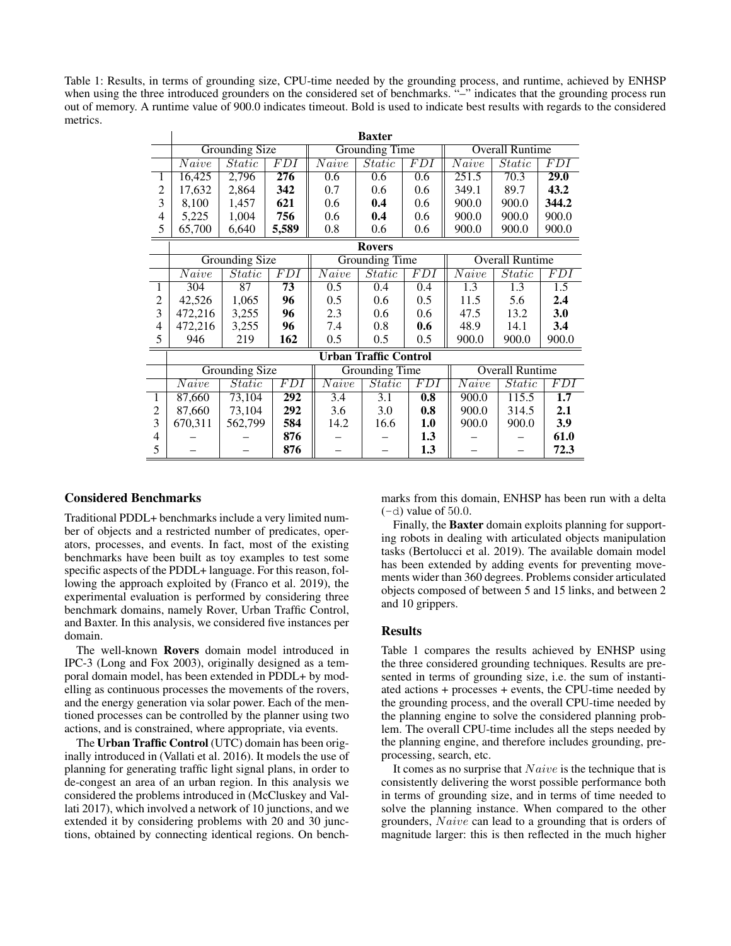Table 1: Results, in terms of grounding size, CPU-time needed by the grounding process, and runtime, achieved by ENHSP when using the three introduced grounders on the considered set of benchmarks. "–" indicates that the grounding process run out of memory. A runtime value of 900.0 indicates timeout. Bold is used to indicate best results with regards to the considered metrics.

|                | <b>Baxter</b>                |                     |                  |                       |                     |            |                        |                     |            |
|----------------|------------------------------|---------------------|------------------|-----------------------|---------------------|------------|------------------------|---------------------|------------|
|                | Grounding Size               |                     |                  | <b>Grounding Time</b> |                     |            | <b>Overall Runtime</b> |                     |            |
|                | $\overline{Naive}$           | $\overline{Static}$ | <b>FDI</b>       | Naive                 | Static              | <b>FDI</b> | Naive                  | $\overline{Static}$ | <i>FDI</i> |
| 1              | 16,425                       | 2,796               | 276              | 0.6                   | 0.6                 | 0.6        | 251.5                  | 70.3                | 29.0       |
| 2              | 17,632                       | 2,864               | 342              | 0.7                   | 0.6                 | 0.6        | 349.1                  | 89.7                | 43.2       |
| 3              | 8,100                        | 1,457               | 621              | 0.6                   | 0.4                 | 0.6        | 900.0                  | 900.0               | 344.2      |
| 4              | 5,225                        | 1,004               | 756              | 0.6                   | 0.4                 | 0.6        | 900.0                  | 900.0               | 900.0      |
| 5              | 65,700                       | 6,640               | 5,589            | 0.8                   | 0.6                 | 0.6        | 900.0                  | 900.0               | 900.0      |
|                | <b>Rovers</b>                |                     |                  |                       |                     |            |                        |                     |            |
|                | <b>Grounding Size</b>        |                     |                  | <b>Grounding Time</b> |                     |            | <b>Overall Runtime</b> |                     |            |
|                | Naive                        | Static              | <i>FDI</i>       | Naive                 | Static              | FDI        | Naive                  | $\overline{Static}$ | <i>FDI</i> |
| 1              | 304                          | $\overline{87}$     | 73               | 0.5                   | 0.4                 | 0.4        | 1.3                    | 1.3                 | 1.5        |
| 2              | 42,526                       | 1,065               | 96               | 0.5                   | 0.6                 | 0.5        | 11.5                   | 5.6                 | 2.4        |
| 3              | 472,216                      | 3,255               | 96               | 2.3                   | 0.6                 | 0.6        | 47.5                   | 13.2                | <b>3.0</b> |
| 4              | 472,216                      | 3,255               | 96               | 7.4                   | 0.8                 | 0.6        | 48.9                   | 14.1                | 3.4        |
| 5              | 946                          | 219                 | 162              | 0.5                   | 0.5                 | 0.5        | 900.0                  | 900.0               | 900.0      |
|                | <b>Urban Traffic Control</b> |                     |                  |                       |                     |            |                        |                     |            |
|                | <b>Grounding Size</b>        |                     |                  | Grounding Time        |                     |            | <b>Overall Runtime</b> |                     |            |
|                | Naive                        | Static              | $\overline{FDI}$ | Naive                 | $\overline{Static}$ | <b>FDI</b> | Naive                  | Static              | <i>FDI</i> |
| 1              | 87,660                       | 73,104              | $\overline{292}$ | 3.4                   | 3.1                 | 0.8        | 900.0                  | 115.5               | 1.7        |
| $\overline{2}$ | 87,660                       | 73,104              | 292              | 3.6                   | 3.0                 | 0.8        | 900.0                  | 314.5               | 2.1        |
| 3              | 670,311                      | 562,799             | 584              | 14.2                  | 16.6                | 1.0        | 900.0                  | 900.0               | 3.9        |
| 4              |                              |                     | 876              |                       |                     | 1.3        |                        |                     | 61.0       |
| 5              |                              |                     | 876              |                       |                     | 1.3        |                        |                     | 72.3       |

### Considered Benchmarks

Traditional PDDL+ benchmarks include a very limited number of objects and a restricted number of predicates, operators, processes, and events. In fact, most of the existing benchmarks have been built as toy examples to test some specific aspects of the PDDL+ language. For this reason, following the approach exploited by (Franco et al. 2019), the experimental evaluation is performed by considering three benchmark domains, namely Rover, Urban Traffic Control, and Baxter. In this analysis, we considered five instances per domain.

The well-known Rovers domain model introduced in IPC-3 (Long and Fox 2003), originally designed as a temporal domain model, has been extended in PDDL+ by modelling as continuous processes the movements of the rovers, and the energy generation via solar power. Each of the mentioned processes can be controlled by the planner using two actions, and is constrained, where appropriate, via events.

The Urban Traffic Control (UTC) domain has been originally introduced in (Vallati et al. 2016). It models the use of planning for generating traffic light signal plans, in order to de-congest an area of an urban region. In this analysis we considered the problems introduced in (McCluskey and Vallati 2017), which involved a network of 10 junctions, and we extended it by considering problems with 20 and 30 junctions, obtained by connecting identical regions. On benchmarks from this domain, ENHSP has been run with a delta  $(-d)$  value of 50.0.

Finally, the Baxter domain exploits planning for supporting robots in dealing with articulated objects manipulation tasks (Bertolucci et al. 2019). The available domain model has been extended by adding events for preventing movements wider than 360 degrees. Problems consider articulated objects composed of between 5 and 15 links, and between 2 and 10 grippers.

#### Results

Table 1 compares the results achieved by ENHSP using the three considered grounding techniques. Results are presented in terms of grounding size, i.e. the sum of instantiated actions + processes + events, the CPU-time needed by the grounding process, and the overall CPU-time needed by the planning engine to solve the considered planning problem. The overall CPU-time includes all the steps needed by the planning engine, and therefore includes grounding, preprocessing, search, etc.

It comes as no surprise that  $Naive$  is the technique that is consistently delivering the worst possible performance both in terms of grounding size, and in terms of time needed to solve the planning instance. When compared to the other grounders, Naive can lead to a grounding that is orders of magnitude larger: this is then reflected in the much higher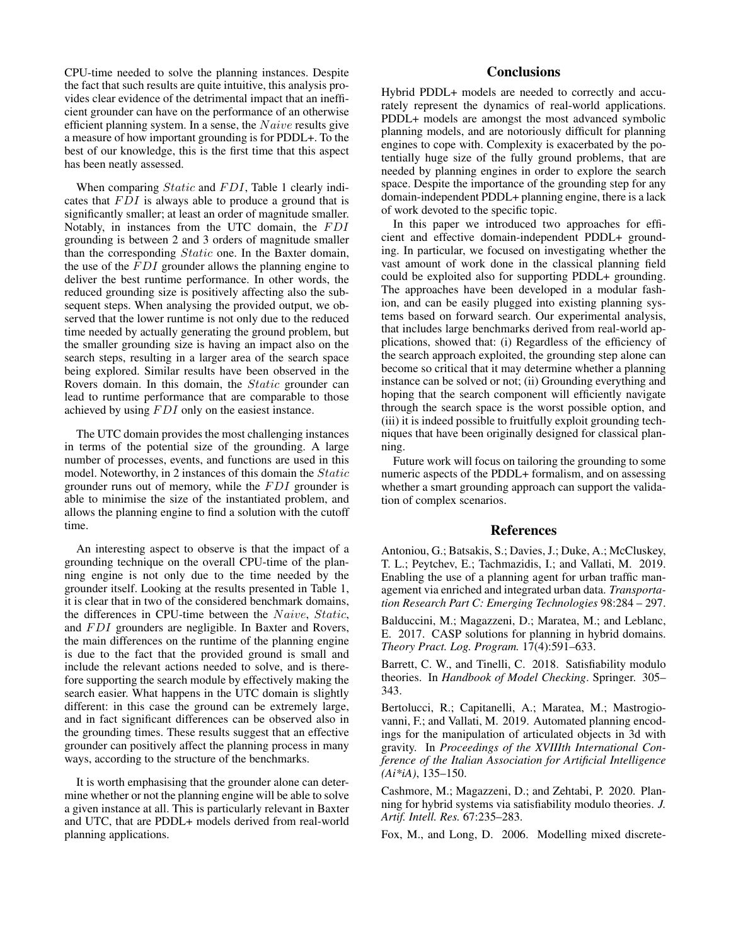CPU-time needed to solve the planning instances. Despite the fact that such results are quite intuitive, this analysis provides clear evidence of the detrimental impact that an inefficient grounder can have on the performance of an otherwise efficient planning system. In a sense, the  $Naive$  results give a measure of how important grounding is for PDDL+. To the best of our knowledge, this is the first time that this aspect has been neatly assessed.

When comparing *Static* and FDI, Table 1 clearly indicates that  $FDI$  is always able to produce a ground that is significantly smaller; at least an order of magnitude smaller. Notably, in instances from the UTC domain, the FDI grounding is between 2 and 3 orders of magnitude smaller than the corresponding Static one. In the Baxter domain, the use of the  $FDI$  grounder allows the planning engine to deliver the best runtime performance. In other words, the reduced grounding size is positively affecting also the subsequent steps. When analysing the provided output, we observed that the lower runtime is not only due to the reduced time needed by actually generating the ground problem, but the smaller grounding size is having an impact also on the search steps, resulting in a larger area of the search space being explored. Similar results have been observed in the Rovers domain. In this domain, the Static grounder can lead to runtime performance that are comparable to those achieved by using  $FDI$  only on the easiest instance.

The UTC domain provides the most challenging instances in terms of the potential size of the grounding. A large number of processes, events, and functions are used in this model. Noteworthy, in 2 instances of this domain the Static grounder runs out of memory, while the  $FDI$  grounder is able to minimise the size of the instantiated problem, and allows the planning engine to find a solution with the cutoff time.

An interesting aspect to observe is that the impact of a grounding technique on the overall CPU-time of the planning engine is not only due to the time needed by the grounder itself. Looking at the results presented in Table 1, it is clear that in two of the considered benchmark domains, the differences in CPU-time between the Naive, Static, and FDI grounders are negligible. In Baxter and Rovers, the main differences on the runtime of the planning engine is due to the fact that the provided ground is small and include the relevant actions needed to solve, and is therefore supporting the search module by effectively making the search easier. What happens in the UTC domain is slightly different: in this case the ground can be extremely large, and in fact significant differences can be observed also in the grounding times. These results suggest that an effective grounder can positively affect the planning process in many ways, according to the structure of the benchmarks.

It is worth emphasising that the grounder alone can determine whether or not the planning engine will be able to solve a given instance at all. This is particularly relevant in Baxter and UTC, that are PDDL+ models derived from real-world planning applications.

# **Conclusions**

Hybrid PDDL+ models are needed to correctly and accurately represent the dynamics of real-world applications. PDDL+ models are amongst the most advanced symbolic planning models, and are notoriously difficult for planning engines to cope with. Complexity is exacerbated by the potentially huge size of the fully ground problems, that are needed by planning engines in order to explore the search space. Despite the importance of the grounding step for any domain-independent PDDL+ planning engine, there is a lack of work devoted to the specific topic.

In this paper we introduced two approaches for efficient and effective domain-independent PDDL+ grounding. In particular, we focused on investigating whether the vast amount of work done in the classical planning field could be exploited also for supporting PDDL+ grounding. The approaches have been developed in a modular fashion, and can be easily plugged into existing planning systems based on forward search. Our experimental analysis, that includes large benchmarks derived from real-world applications, showed that: (i) Regardless of the efficiency of the search approach exploited, the grounding step alone can become so critical that it may determine whether a planning instance can be solved or not; (ii) Grounding everything and hoping that the search component will efficiently navigate through the search space is the worst possible option, and (iii) it is indeed possible to fruitfully exploit grounding techniques that have been originally designed for classical planning.

Future work will focus on tailoring the grounding to some numeric aspects of the PDDL+ formalism, and on assessing whether a smart grounding approach can support the validation of complex scenarios.

### References

Antoniou, G.; Batsakis, S.; Davies, J.; Duke, A.; McCluskey, T. L.; Peytchev, E.; Tachmazidis, I.; and Vallati, M. 2019. Enabling the use of a planning agent for urban traffic management via enriched and integrated urban data. *Transportation Research Part C: Emerging Technologies* 98:284 – 297.

Balduccini, M.; Magazzeni, D.; Maratea, M.; and Leblanc, E. 2017. CASP solutions for planning in hybrid domains. *Theory Pract. Log. Program.* 17(4):591–633.

Barrett, C. W., and Tinelli, C. 2018. Satisfiability modulo theories. In *Handbook of Model Checking*. Springer. 305– 343.

Bertolucci, R.; Capitanelli, A.; Maratea, M.; Mastrogiovanni, F.; and Vallati, M. 2019. Automated planning encodings for the manipulation of articulated objects in 3d with gravity. In *Proceedings of the XVIIIth International Conference of the Italian Association for Artificial Intelligence (Ai\*iA)*, 135–150.

Cashmore, M.; Magazzeni, D.; and Zehtabi, P. 2020. Planning for hybrid systems via satisfiability modulo theories. *J. Artif. Intell. Res.* 67:235–283.

Fox, M., and Long, D. 2006. Modelling mixed discrete-